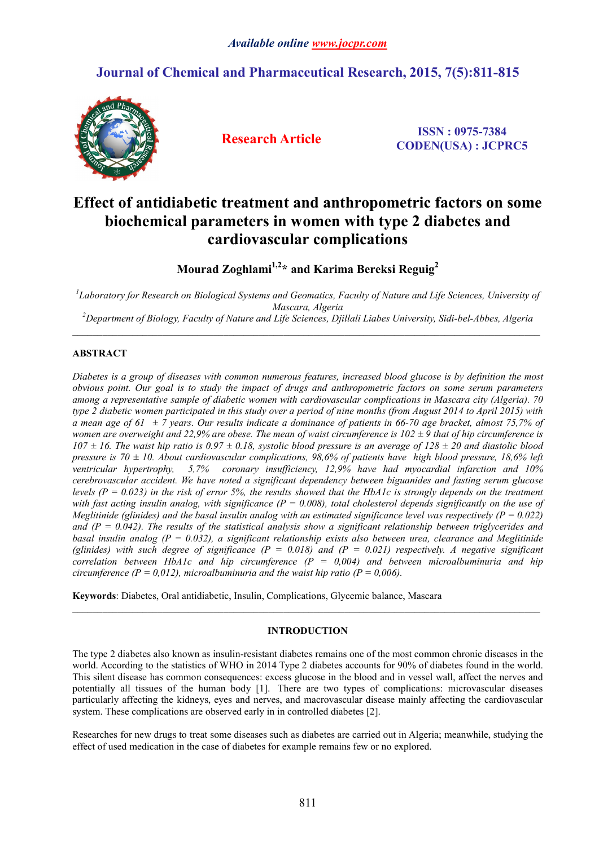# **Journal of Chemical and Pharmaceutical Research, 2015, 7(5):811-815**



**Research Article ISSN : 0975-7384 CODEN(USA) : JCPRC5**

# **Effect of antidiabetic treatment and anthropometric factors on some biochemical parameters in women with type 2 diabetes and cardiovascular complications**

**Mourad Zoghlami1,2\* and Karima Bereksi Reguig2**

<sup>1</sup> Laboratory for Research on Biological Systems and Geomatics, Faculty of Nature and Life Sciences, University of *Mascara, Algeria <sup>2</sup> Department of Biology, Faculty of Nature and Life Sciences, Djillali Liabes University, Sidi-bel-Abbes, Algeria*

# **ABSTRACT**

*Diabetes is a group of diseases with common numerous features, increased blood glucose is by definition the most obvious point. Our goal is to study the impact of drugs and anthropometric factors on some serum parameters among a representative sample of diabetic women with cardiovascular complications in Mascara city (Algeria). 70 type 2 diabetic women participated in this study over a period of nine months (from August 2014 to April 2015) with a mean age of 61 ± 7 years. Our results indicate a dominance of patients in 66-70 age bracket, almost 75,7% of women are overweight and 22,9% are obese. The mean of waist circumference is*  $102 \pm 9$  *that of hip circumference is*  $107 \pm 16$ . The waist hip ratio is  $0.97 \pm 0.18$ , systolic blood pressure is an average of  $128 \pm 20$  and diastolic blood *pressure is 70 ± 10. About cardiovascular complications, 98,6% of patients have high blood pressure, 18,6% left ventricular hypertrophy, 5,7% coronary insufficiency, 12,9% have had myocardial infarction and 10% cerebrovascular accident. We have noted a significant dependency between biguanides and fasting serum glucose levels (P = 0.023) in the risk of error 5%, the results showed that the HbA1c is strongly depends on the treatment*  with fast acting insulin analog, with significance (P = 0.008), total cholesterol depends significantly on the use of *Meglitinide (glinides) and the basal insulin analog with an estimated significance level was respectively (P =*  $0.022$ *) and (P = 0.042). The results of the statistical analysis show a significant relationship between triglycerides and basal insulin analog (P = 0.032), a significant relationship exists also between urea, clearance and Meglitinide*  (glinides) with such degree of significance  $(P = 0.018)$  and  $(P = 0.021)$  respectively. A negative significant *correlation between HbA1c and hip circumference (P = 0,004) and between microalbuminuria and hip circumference (P = 0,012), microalbuminuria and the waist hip ratio (P = 0,006).* 

**Keywords**: Diabetes, Oral antidiabetic, Insulin, Complications, Glycemic balance, Mascara

# **INTRODUCTION**

 $\_$  ,  $\_$  ,  $\_$  ,  $\_$  ,  $\_$  ,  $\_$  ,  $\_$  ,  $\_$  ,  $\_$  ,  $\_$  ,  $\_$  ,  $\_$  ,  $\_$  ,  $\_$  ,  $\_$  ,  $\_$  ,  $\_$  ,  $\_$  ,  $\_$  ,  $\_$  ,  $\_$  ,  $\_$  ,  $\_$  ,  $\_$  ,  $\_$  ,  $\_$  ,  $\_$  ,  $\_$  ,  $\_$  ,  $\_$  ,  $\_$  ,  $\_$  ,  $\_$  ,  $\_$  ,  $\_$  ,  $\_$  ,  $\_$  ,

The type 2 diabetes also known as insulin-resistant diabetes remains one of the most common chronic diseases in the world. According to the statistics of WHO in 2014 Type 2 diabetes accounts for 90% of diabetes found in the world. This silent disease has common consequences: excess glucose in the blood and in vessel wall, affect the nerves and potentially all tissues of the human body [1]. There are two types of complications: microvascular diseases particularly affecting the kidneys, eyes and nerves, and macrovascular disease mainly affecting the cardiovascular system. These complications are observed early in in controlled diabetes [2].

Researches for new drugs to treat some diseases such as diabetes are carried out in Algeria; meanwhile, studying the effect of used medication in the case of diabetes for example remains few or no explored.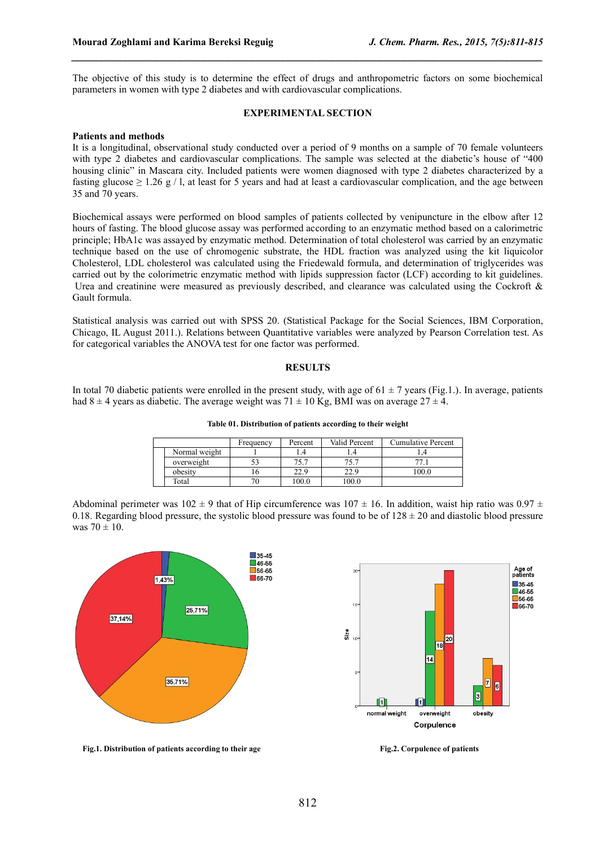The objective of this study is to determine the effect of drugs and anthropometric factors on some biochemical parameters in women with type 2 diabetes and with cardiovascular complications.

*\_\_\_\_\_\_\_\_\_\_\_\_\_\_\_\_\_\_\_\_\_\_\_\_\_\_\_\_\_\_\_\_\_\_\_\_\_\_\_\_\_\_\_\_\_\_\_\_\_\_\_\_\_\_\_\_\_\_\_\_\_\_\_\_\_\_\_\_\_\_\_\_\_\_\_\_\_\_*

#### **EXPERIMENTAL SECTION**

#### **Patients and methods**

It is a longitudinal, observational study conducted over a period of 9 months on a sample of 70 female volunteers with type 2 diabetes and cardiovascular complications. The sample was selected at the diabetic's house of "400 housing clinic" in Mascara city. Included patients were women diagnosed with type 2 diabetes characterized by a fasting glucose  $\geq 1.26$  g / l, at least for 5 years and had at least a cardiovascular complication, and the age between 35 and 70 years.

Biochemical assays were performed on blood samples of patients collected by venipuncture in the elbow after 12 hours of fasting. The blood glucose assay was performed according to an enzymatic method based on a calorimetric principle; HbA1c was assayed by enzymatic method. Determination of total cholesterol was carried by an enzymatic technique based on the use of chromogenic substrate, the HDL fraction was analyzed using the kit liquicolor Cholesterol, LDL cholesterol was calculated using the Friedewald formula, and determination of triglycerides was carried out by the colorimetric enzymatic method with lipids suppression factor (LCF) according to kit guidelines. Urea and creatinine were measured as previously described, and clearance was calculated using the Cockroft & Gault formula.

Statistical analysis was carried out with SPSS 20. (Statistical Package for the Social Sciences, IBM Corporation, Chicago, IL August 2011.). Relations between Quantitative variables were analyzed by Pearson Correlation test. As for categorical variables the ANOVA test for one factor was performed.

#### **RESULTS**

In total 70 diabetic patients were enrolled in the present study, with age of  $61 \pm 7$  years (Fig.1.). In average, patients had  $8 \pm 4$  years as diabetic. The average weight was  $71 \pm 10$  Kg, BMI was on average  $27 \pm 4$ .

**Table 01. Distribution of patients according to their weight**

|               | Frequency | Percent | Valid Percent | <b>Cumulative Percent</b> |  |
|---------------|-----------|---------|---------------|---------------------------|--|
| Normal weight |           |         |               |                           |  |
| overweight    |           | 75.7    | 75.7          |                           |  |
| obesity       |           | 22.9    | 22.9          | 100.0                     |  |
| Total         |           | 100.0   | 0.00          |                           |  |

Abdominal perimeter was  $102 \pm 9$  that of Hip circumference was  $107 \pm 16$ . In addition, waist hip ratio was  $0.97 \pm 16$ . 0.18. Regarding blood pressure, the systolic blood pressure was found to be of  $128 \pm 20$  and diastolic blood pressure was  $70 \pm 10$ .





**Fig.1. Distribution of patients according to their age Fig.2. Corpulence of patients**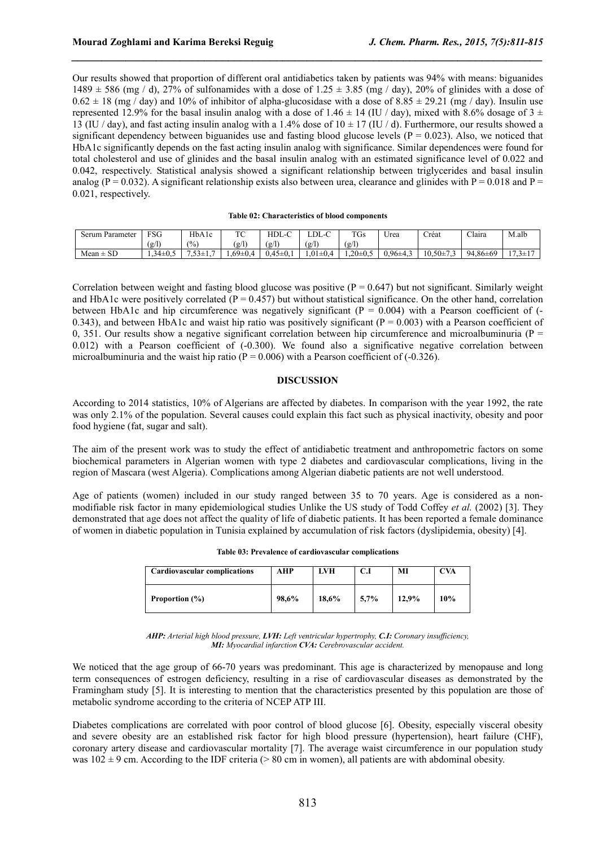Our results showed that proportion of different oral antidiabetics taken by patients was 94% with means: biguanides 1489  $\pm$  586 (mg / d), 27% of sulfonamides with a dose of 1.25  $\pm$  3.85 (mg / day), 20% of glinides with a dose of  $0.62 \pm 18$  (mg / day) and 10% of inhibitor of alpha-glucosidase with a dose of 8.85  $\pm$  29.21 (mg / day). Insulin use represented 12.9% for the basal insulin analog with a dose of 1.46  $\pm$  14 (IU / day), mixed with 8.6% dosage of 3  $\pm$ 13 (IU / day), and fast acting insulin analog with a 1.4% dose of  $10 \pm 17$  (IU / d). Furthermore, our results showed a significant dependency between biguanides use and fasting blood glucose levels ( $P = 0.023$ ). Also, we noticed that HbA1c significantly depends on the fast acting insulin analog with significance. Similar dependences were found for total cholesterol and use of glinides and the basal insulin analog with an estimated significance level of 0.022 and 0.042, respectively. Statistical analysis showed a significant relationship between triglycerides and basal insulin analog ( $P = 0.032$ ). A significant relationship exists also between urea, clearance and glinides with  $P = 0.018$  and  $P = 0.018$ 0.021, respectively.

*\_\_\_\_\_\_\_\_\_\_\_\_\_\_\_\_\_\_\_\_\_\_\_\_\_\_\_\_\_\_\_\_\_\_\_\_\_\_\_\_\_\_\_\_\_\_\_\_\_\_\_\_\_\_\_\_\_\_\_\_\_\_\_\_\_\_\_\_\_\_\_\_\_\_\_\_\_\_*

#### **Table 02: Characteristics of blood components**

| Parameter<br>Serum  | FSG               | HbA1c              | TO <sub>C</sub><br>$\sim$         | HDL-C               | LDL           | $T^{\prime}$<br>' US                | Urea              | $\sim$ $\sim$<br>Créat    | $\sim$ $\sim$<br>Claira | M.alb                                                             |
|---------------------|-------------------|--------------------|-----------------------------------|---------------------|---------------|-------------------------------------|-------------------|---------------------------|-------------------------|-------------------------------------------------------------------|
|                     | $(g/\Gamma)$      | (0)                | $\left( \frac{\alpha}{2} \right)$ | $(g/\Gamma)$        | $\mathbf{g}/$ | $\left( \frac{g}{\epsilon} \right)$ |                   |                           |                         |                                                                   |
| <b>SD</b><br>Mean ± | $34\pm0.5$<br>ر د | $\rightarrow$<br>. | 1.69±0.4<br>$\mathbf{1}$          | . 45<br>$5 \pm 0.1$ | $01 \pm 0.4$  | $.20\pm0.5$                         | $0.96 + 4$<br>r., | $10.50 \pm 7$<br>-<br>. . | 94.86±69                | $\overline{\phantom{0}}$<br>$\overline{\phantom{0}}$<br>$-$<br>-- |

Correlation between weight and fasting blood glucose was positive  $(P = 0.647)$  but not significant. Similarly weight and HbA1c were positively correlated ( $P = 0.457$ ) but without statistical significance. On the other hand, correlation between HbA1c and hip circumference was negatively significant  $(P = 0.004)$  with a Pearson coefficient of  $(-\frac{1}{2}$ 0.343), and between HbA1c and waist hip ratio was positively significant ( $P = 0.003$ ) with a Pearson coefficient of 0, 351. Our results show a negative significant correlation between hip circumference and microalbuminuria ( $P =$ 0.012) with a Pearson coefficient of (-0.300). We found also a significative negative correlation between microalbuminuria and the waist hip ratio ( $P = 0.006$ ) with a Pearson coefficient of (-0.326).

### **DISCUSSION**

According to 2014 statistics, 10% of Algerians are affected by diabetes. In comparison with the year 1992, the rate was only 2.1% of the population. Several causes could explain this fact such as physical inactivity, obesity and poor food hygiene (fat, sugar and salt).

The aim of the present work was to study the effect of antidiabetic treatment and anthropometric factors on some biochemical parameters in Algerian women with type 2 diabetes and cardiovascular complications, living in the region of Mascara (west Algeria). Complications among Algerian diabetic patients are not well understood.

Age of patients (women) included in our study ranged between 35 to 70 years. Age is considered as a nonmodifiable risk factor in many epidemiological studies Unlike the US study of Todd Coffey *et al.* (2002) [3]. They demonstrated that age does not affect the quality of life of diabetic patients. It has been reported a female dominance of women in diabetic population in Tunisia explained by accumulation of risk factors (dyslipidemia, obesity) [4].

| <b>Cardiovascular complications</b> | AHP   | <b>LVH</b> | C.I  | MI    | CVA |
|-------------------------------------|-------|------------|------|-------|-----|
| Proportion $(\% )$                  | 98.6% | 18,6%      | 5,7% | 12.9% | 10% |

*AHP: Arterial high blood pressure, LVH: Left ventricular hypertrophy, C.I: Coronary insufficiency, MI: Myocardial infarction CVA: Cerebrovascular accident.*

We noticed that the age group of 66-70 years was predominant. This age is characterized by menopause and long term consequences of estrogen deficiency, resulting in a rise of cardiovascular diseases as demonstrated by the Framingham study [5]. It is interesting to mention that the characteristics presented by this population are those of metabolic syndrome according to the criteria of NCEP ATP III.

Diabetes complications are correlated with poor control of blood glucose [6]. Obesity, especially visceral obesity and severe obesity are an established risk factor for high blood pressure (hypertension), heart failure (CHF), coronary artery disease and cardiovascular mortality [7]. The average waist circumference in our population study was  $102 \pm 9$  cm. According to the IDF criteria ( $> 80$  cm in women), all patients are with abdominal obesity.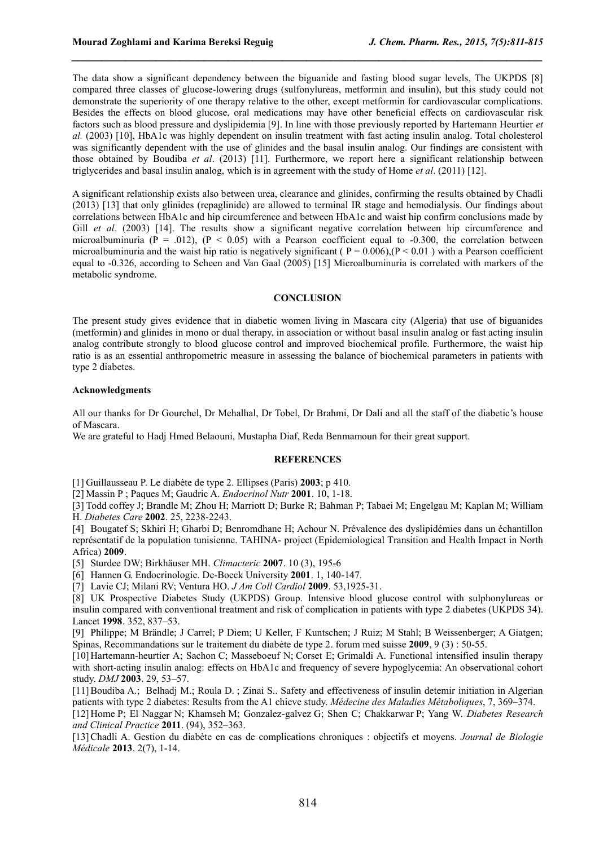The data show a significant dependency between the biguanide and fasting blood sugar levels, The UKPDS [8] compared three classes of glucose-lowering drugs (sulfonylureas, metformin and insulin), but this study could not demonstrate the superiority of one therapy relative to the other, except metformin for cardiovascular complications. Besides the effects on blood glucose, oral medications may have other beneficial effects on cardiovascular risk factors such as blood pressure and dyslipidemia [9]. In line with those previously reported by Hartemann Heurtier *et al.* (2003) [10], HbA1c was highly dependent on insulin treatment with fast acting insulin analog. Total cholesterol was significantly dependent with the use of glinides and the basal insulin analog. Our findings are consistent with those obtained by Boudiba *et al*. (2013) [11]. Furthermore, we report here a significant relationship between triglycerides and basal insulin analog, which is in agreement with the study of Home *et al*. (2011) [12].

*\_\_\_\_\_\_\_\_\_\_\_\_\_\_\_\_\_\_\_\_\_\_\_\_\_\_\_\_\_\_\_\_\_\_\_\_\_\_\_\_\_\_\_\_\_\_\_\_\_\_\_\_\_\_\_\_\_\_\_\_\_\_\_\_\_\_\_\_\_\_\_\_\_\_\_\_\_\_*

A significant relationship exists also between urea, clearance and glinides, confirming the results obtained by Chadli (2013) [13] that only glinides (repaglinide) are allowed to terminal IR stage and hemodialysis. Our findings about correlations between HbA1c and hip circumference and between HbA1c and waist hip confirm conclusions made by Gill *et al.* (2003) [14]. The results show a significant negative correlation between hip circumference and microalbuminuria ( $P = 0.012$ ), ( $P < 0.05$ ) with a Pearson coefficient equal to -0.300, the correlation between microalbuminuria and the waist hip ratio is negatively significant ( $P = 0.006$ ),  $(P < 0.01$ ) with a Pearson coefficient equal to -0.326, according to Scheen and Van Gaal (2005) [15] Microalbuminuria is correlated with markers of the metabolic syndrome.

## **CONCLUSION**

The present study gives evidence that in diabetic women living in Mascara city (Algeria) that use of biguanides (metformin) and glinides in mono or dual therapy, in association or without basal insulin analog or fast acting insulin analog contribute strongly to blood glucose control and improved biochemical profile. Furthermore, the waist hip ratio is as an essential anthropometric measure in assessing the balance of biochemical parameters in patients with type 2 diabetes.

## **Acknowledgments**

All our thanks for Dr Gourchel, Dr Mehalhal, Dr Tobel, Dr Brahmi, Dr Dali and all the staff of the diabetic's house of Mascara.

We are grateful to Hadj Hmed Belaouni, Mustapha Diaf, Reda Benmamoun for their great support.

## **REFERENCES**

[1] Guillausseau P. Le diabète de type 2. Ellipses (Paris) **2003**; p 410.

[2] Massin P ; Paques M; Gaudric A. *Endocrinol Nutr* **2001**. 10, 1-18.

[3] Todd coffey J; Brandle M; Zhou H; Marriott D; Burke R; Bahman P; Tabaei M; Engelgau M; Kaplan M; William H. *Diabetes Care* **2002**. 25, 2238-2243.

[4] Bougatef S; Skhiri H; Gharbi D; Benromdhane H; Achour N. Prévalence des dyslipidémies dans un échantillon représentatif de la population tunisienne. TAHINA- project (Epidemiological Transition and Health Impact in North Africa) **2009**.

[5] Sturdee DW; Birkhäuser MH. *Climacteric* **2007**. 10 (3), 195-6

[6] Hannen G. Endocrinologie. De-Boeck University **2001**. 1, 140-147.

[7] Lavie CJ; Milani RV; Ventura HO. *J Am Coll Cardiol* **2009**. 53,1925-31.

[8] UK Prospective Diabetes Study (UKPDS) Group. Intensive blood glucose control with sulphonylureas or insulin compared with conventional treatment and risk of complication in patients with type 2 diabetes (UKPDS 34). Lancet **1998**. 352, 837–53.

[9] Philippe; M Brändle; J Carrel; P Diem; U Keller, F Kuntschen; J Ruiz; M Stahl; B Weissenberger; A Giatgen; Spinas, Recommandations sur le traitement du diabète de type 2. forum med suisse **2009**, 9 (3) : 50-55.

[10] Hartemann-heurtier A; Sachon C; Masseboeuf N; Corset E; Grimaldi A. Functional intensified insulin therapy with short-acting insulin analog: effects on HbA1c and frequency of severe hypoglycemia: An observational cohort study. *DMJ* **2003**. 29, 53–57.

[11] Boudiba A.; Belhadj M.; Roula D. ; Zinai S.. Safety and effectiveness of insulin detemir initiation in Algerian patients with type 2 diabetes: Results from the A1 chieve study. *Médecine des Maladies Métaboliques*, 7, 369–374.

[12] Home P; El Naggar N; Khamseh M; Gonzalez-galvez G; Shen C; Chakkarwar P; Yang W. *Diabetes Research and Clinical Practice* **2011**. (94), 352–363.

[13] Chadli A. Gestion du diabète en cas de complications chroniques : objectifs et moyens. *Journal de Biologie Médicale* **2013**. 2(7), 1-14.